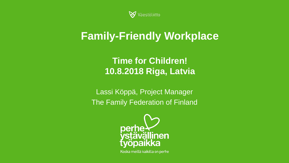

## **Family-Friendly Workplace**

### **Time for Children! 10.8.2018 Riga, Latvia**

Lassi Köppä, Project Manager The Family Federation of Finland



Koska meillä kaikilla on perhe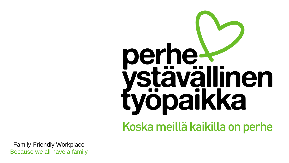# perhe yöpaikka Koska meillä kaikilla on perhe

Family-Friendly Workplace Because we all have a family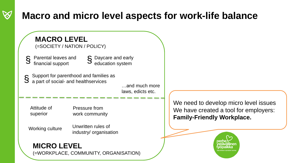### **Macro and micro level aspects for work-life balance**

### Parental leaves and financial support Daycare and early § Daycare and early<br>§ education system Support for parenthood and families as a part of social- and healthservices § …and much more laws, edicts etc. § **MACRO LEVEL** (=SOCIETY / NATION / POLICY) Attitude of superior Pressure from work community Unwritten rules of industry/ organisation Working culture

### **MICRO LEVEL**

(=WORKPLACE, COMMUNITY, ORGANISATION)

We need to develop micro level issues We have created a tool for employers: **Family-Friendly Workplace.**

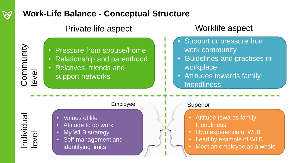### **Work-Life Balance - Conceptual Structure**

Private life aspect Worklife aspect

• Pressure from spouse/home

• Relationship and parenthood

- Support or pressure from work community
- Guidelines and practises in workplace
- Attitudes towards family friendliness

Individual level

**Community** 

level

### Employee

- Values of life
- Attitude to do work

• Relatives, friends and

support networks

- My WLB strategy
- Self-management and identifying limits

### Superior

- Attitude towards family friendliness
- Own experience of WLB
- Lead by example of WLB
- Meet an employee as a whole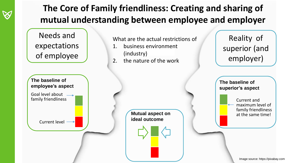

Image source: https://pixabay.com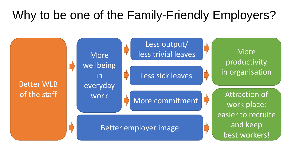# Why to be one of the Family-Friendly Employers?

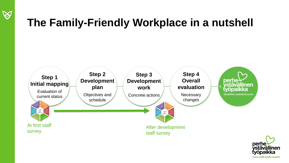

# **The Family-Friendly Workplace in a nutshell**



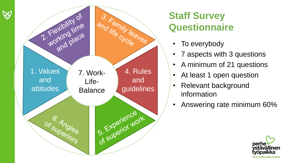

 $\bigotimes$ 

### **Staff Survey Questionnaire**

- To everybody
- 7 aspects with 3 questions
- A minimum of 21 questions
- At least 1 open question
- Relevant background information
- Answering rate minimum 60%

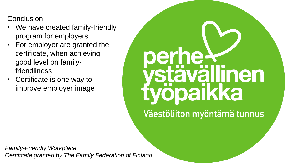**Conclusion** 

- We have created family-friendly program for employers
- For employer are granted the certificate, when achieving good level on familyfriendliness
- Certificate is one way to improve employer image



Väestöliiton myöntämä tunnus

*Family-Friendly Workplace Certificate granted by The Family Federation of Finland*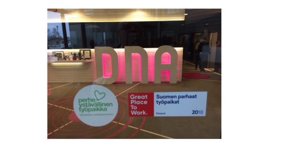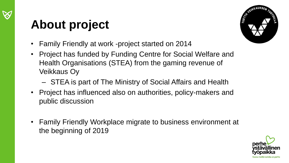

# **About project**



- Family Friendly at work -project started on 2014
- Project has funded by Funding Centre for Social Welfare and Health Organisations (STEA) from the gaming revenue of Veikkaus Oy
	- STEA is part of The Ministry of Social Affairs and Health
- Project has influenced also on authorities, policy-makers and public discussion
- Family Friendly Workplace migrate to business environment at the beginning of 2019